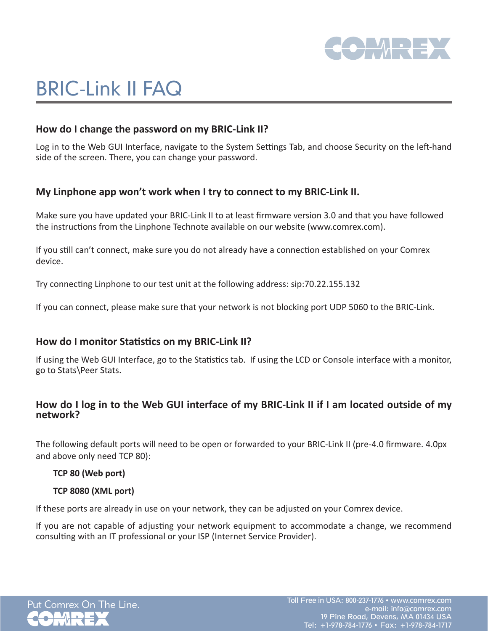

# BRIC-Link II FAQ

## **How do I change the password on my BRIC-Link II?**

Log in to the Web GUI Interface, navigate to the System Settings Tab, and choose Security on the left-hand side of the screen. There, you can change your password.

## **My Linphone app won't work when I try to connect to my BRIC-Link II.**

Make sure you have updated your BRIC-Link II to at least firmware version 3.0 and that you have followed the instructions from the Linphone Technote available on our website (www.comrex.com).

If you still can't connect, make sure you do not already have a connection established on your Comrex device.

Try connecting Linphone to our test unit at the following address: sip:70.22.155.132

If you can connect, please make sure that your network is not blocking port UDP 5060 to the BRIC-Link.

### **How do I monitor Statistics on my BRIC-Link II?**

If using the Web GUI Interface, go to the Statistics tab. If using the LCD or Console interface with a monitor, go to Stats\Peer Stats.

## **How do I log in to the Web GUI interface of my BRIC-Link II if I am located outside of my network?**

The following default ports will need to be open or forwarded to your BRIC-Link II (pre-4.0 firmware. 4.0px and above only need TCP 80):

#### **TCP 80 (Web port)**

#### **TCP 8080 (XML port)**

If these ports are already in use on your network, they can be adjusted on your Comrex device.

If you are not capable of adjusting your network equipment to accommodate a change, we recommend consulting with an IT professional or your ISP (Internet Service Provider).